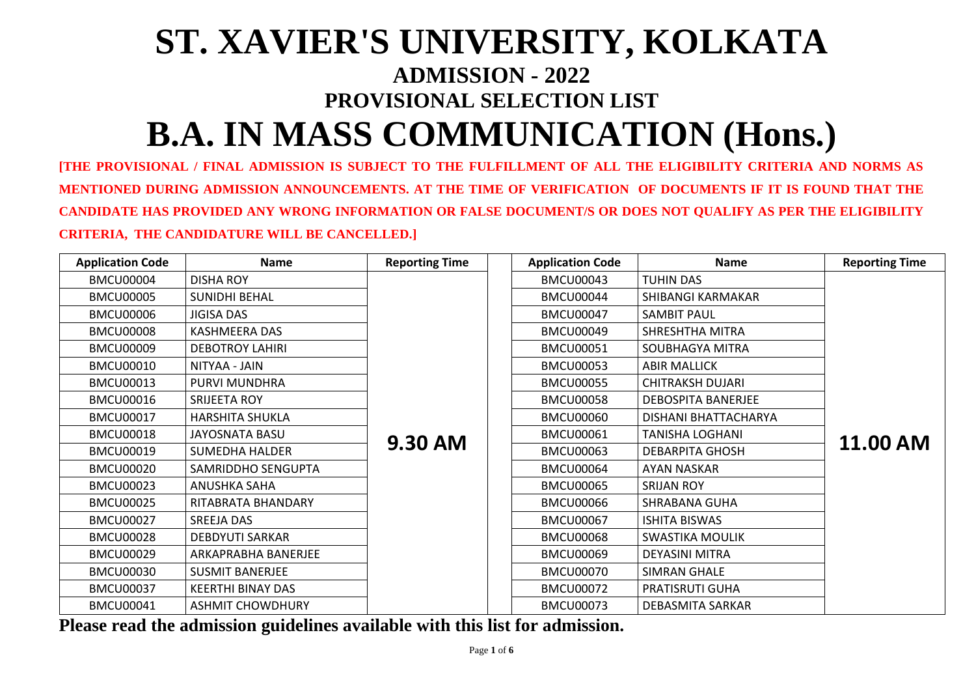# **ST. XAVIER'S UNIVERSITY, KOLKATA ADMISSION - 2022 PROVISIONAL SELECTION LIST B.A. IN MASS COMMUNICATION (Hons.)**

**[THE PROVISIONAL / FINAL ADMISSION IS SUBJECT TO THE FULFILLMENT OF ALL THE ELIGIBILITY CRITERIA AND NORMS AS MENTIONED DURING ADMISSION ANNOUNCEMENTS. AT THE TIME OF VERIFICATION OF DOCUMENTS IF IT IS FOUND THAT THE CANDIDATE HAS PROVIDED ANY WRONG INFORMATION OR FALSE DOCUMENT/S OR DOES NOT QUALIFY AS PER THE ELIGIBILITY CRITERIA, THE CANDIDATURE WILL BE CANCELLED.]**

| <b>Application Code</b> | <b>Name</b>              | <b>Reporting Time</b> | <b>Application Code</b> | <b>Name</b>               | <b>Reporting Time</b> |
|-------------------------|--------------------------|-----------------------|-------------------------|---------------------------|-----------------------|
| <b>BMCU00004</b>        | <b>DISHA ROY</b>         |                       | <b>BMCU00043</b>        | <b>TUHIN DAS</b>          |                       |
| <b>BMCU00005</b>        | <b>SUNIDHI BEHAL</b>     |                       | <b>BMCU00044</b>        | <b>SHIBANGI KARMAKAR</b>  |                       |
| <b>BMCU00006</b>        | <b>JIGISA DAS</b>        |                       | <b>BMCU00047</b>        | <b>SAMBIT PAUL</b>        |                       |
| <b>BMCU00008</b>        | <b>KASHMEERA DAS</b>     |                       | <b>BMCU00049</b>        | <b>SHRESHTHA MITRA</b>    |                       |
| <b>BMCU00009</b>        | <b>DEBOTROY LAHIRI</b>   |                       | <b>BMCU00051</b>        | <b>SOUBHAGYA MITRA</b>    |                       |
| <b>BMCU00010</b>        | NITYAA - JAIN            |                       | <b>BMCU00053</b>        | <b>ABIR MALLICK</b>       |                       |
| <b>BMCU00013</b>        | PURVI MUNDHRA            |                       | <b>BMCU00055</b>        | <b>CHITRAKSH DUJARI</b>   |                       |
| <b>BMCU00016</b>        | SRIJEETA ROY             |                       | <b>BMCU00058</b>        | <b>DEBOSPITA BANERJEE</b> |                       |
| <b>BMCU00017</b>        | <b>HARSHITA SHUKLA</b>   |                       | <b>BMCU00060</b>        | DISHANI BHATTACHARYA      | <b>11.00 AM</b>       |
| <b>BMCU00018</b>        | <b>JAYOSNATA BASU</b>    | <b>9.30 AM</b>        | <b>BMCU00061</b>        | <b>TANISHA LOGHANI</b>    |                       |
| <b>BMCU00019</b>        | <b>SUMEDHA HALDER</b>    |                       | <b>BMCU00063</b>        | <b>DEBARPITA GHOSH</b>    |                       |
| <b>BMCU00020</b>        | SAMRIDDHO SENGUPTA       |                       | <b>BMCU00064</b>        | <b>AYAN NASKAR</b>        |                       |
| <b>BMCU00023</b>        | <b>ANUSHKA SAHA</b>      |                       | <b>BMCU00065</b>        | <b>SRIJAN ROY</b>         |                       |
| <b>BMCU00025</b>        | RITABRATA BHANDARY       |                       | <b>BMCU00066</b>        | <b>SHRABANA GUHA</b>      |                       |
| <b>BMCU00027</b>        | <b>SREEJA DAS</b>        |                       | <b>BMCU00067</b>        | <b>ISHITA BISWAS</b>      |                       |
| <b>BMCU00028</b>        | <b>DEBDYUTI SARKAR</b>   |                       | <b>BMCU00068</b>        | <b>SWASTIKA MOULIK</b>    |                       |
| <b>BMCU00029</b>        | ARKAPRABHA BANERJEE      |                       | <b>BMCU00069</b>        | <b>DEYASINI MITRA</b>     |                       |
| <b>BMCU00030</b>        | <b>SUSMIT BANERJEE</b>   |                       | <b>BMCU00070</b>        | <b>SIMRAN GHALE</b>       |                       |
| <b>BMCU00037</b>        | <b>KEERTHI BINAY DAS</b> |                       | <b>BMCU00072</b>        | <b>PRATISRUTI GUHA</b>    |                       |
| <b>BMCU00041</b>        | <b>ASHMIT CHOWDHURY</b>  |                       | <b>BMCU00073</b>        | <b>DEBASMITA SARKAR</b>   |                       |

**Please read the admission guidelines available with this list for admission.**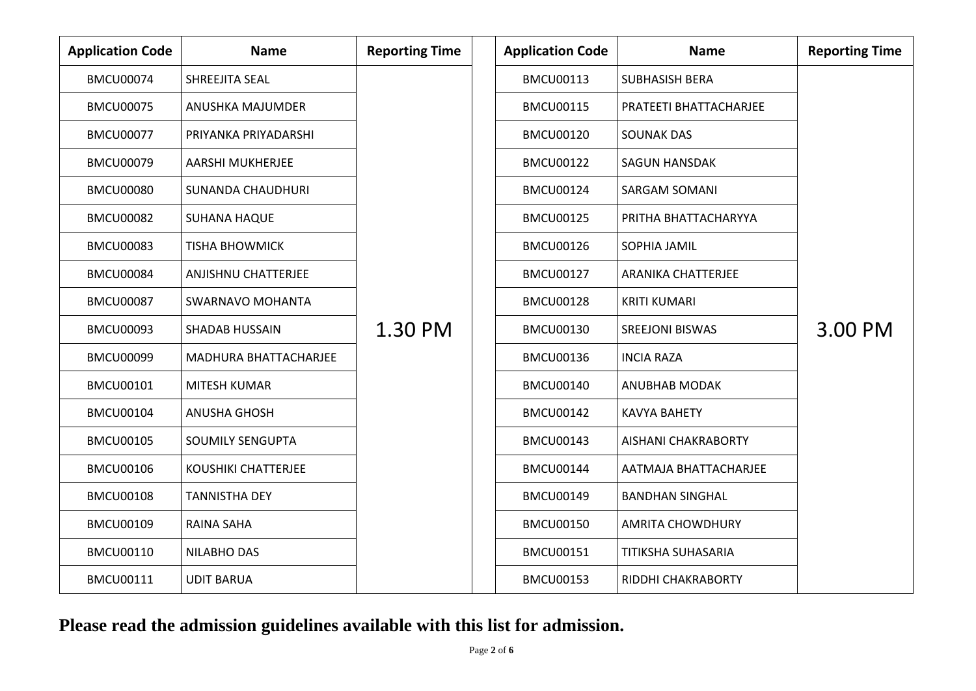# **Please read the admission guidelines available with this list for admission.**

|          | <b>Reporting Time</b> |
|----------|-----------------------|
| ARJEE    |                       |
| YYA      |                       |
| $\vdots$ |                       |
|          | 3.00 PM               |
|          |                       |
| TΥ       |                       |
| ARJEE    |                       |
| Y        |                       |
| Y        |                       |

| <b>Application Code</b> | <b>Name</b>                  | <b>Reporting Time</b> | <b>Application Code</b> | <b>Name</b>                   | <b>Reporting Time</b> |
|-------------------------|------------------------------|-----------------------|-------------------------|-------------------------------|-----------------------|
| <b>BMCU00074</b>        | <b>SHREEJITA SEAL</b>        |                       | <b>BMCU00113</b>        | <b>SUBHASISH BERA</b>         |                       |
| <b>BMCU00075</b>        | ANUSHKA MAJUMDER             |                       | <b>BMCU00115</b>        | <b>PRATEETI BHATTACHARJEE</b> |                       |
| <b>BMCU00077</b>        | PRIYANKA PRIYADARSHI         |                       | <b>BMCU00120</b>        | <b>SOUNAK DAS</b>             |                       |
| <b>BMCU00079</b>        | <b>AARSHI MUKHERJEE</b>      |                       | <b>BMCU00122</b>        | <b>SAGUN HANSDAK</b>          |                       |
| <b>BMCU00080</b>        | <b>SUNANDA CHAUDHURI</b>     |                       | <b>BMCU00124</b>        | <b>SARGAM SOMANI</b>          |                       |
| <b>BMCU00082</b>        | <b>SUHANA HAQUE</b>          |                       | <b>BMCU00125</b>        | PRITHA BHATTACHARYYA          |                       |
| <b>BMCU00083</b>        | <b>TISHA BHOWMICK</b>        |                       | <b>BMCU00126</b>        | <b>SOPHIA JAMIL</b>           |                       |
| <b>BMCU00084</b>        | <b>ANJISHNU CHATTERJEE</b>   |                       | <b>BMCU00127</b>        | <b>ARANIKA CHATTERJEE</b>     |                       |
| <b>BMCU00087</b>        | <b>SWARNAVO MOHANTA</b>      |                       | <b>BMCU00128</b>        | <b>KRITI KUMARI</b>           |                       |
| <b>BMCU00093</b>        | <b>SHADAB HUSSAIN</b>        | 1.30 PM               | <b>BMCU00130</b>        | <b>SREEJONI BISWAS</b>        | 3.00 PM               |
| <b>BMCU00099</b>        | <b>MADHURA BHATTACHARJEE</b> |                       | <b>BMCU00136</b>        | <b>INCIA RAZA</b>             |                       |
| <b>BMCU00101</b>        | <b>MITESH KUMAR</b>          |                       | <b>BMCU00140</b>        | <b>ANUBHAB MODAK</b>          |                       |
| <b>BMCU00104</b>        | <b>ANUSHA GHOSH</b>          |                       | <b>BMCU00142</b>        | <b>KAVYA BAHETY</b>           |                       |
| <b>BMCU00105</b>        | <b>SOUMILY SENGUPTA</b>      |                       | <b>BMCU00143</b>        | <b>AISHANI CHAKRABORTY</b>    |                       |
| <b>BMCU00106</b>        | <b>KOUSHIKI CHATTERJEE</b>   |                       | <b>BMCU00144</b>        | AATMAJA BHATTACHARJEE         |                       |
| <b>BMCU00108</b>        | <b>TANNISTHA DEY</b>         |                       | <b>BMCU00149</b>        | <b>BANDHAN SINGHAL</b>        |                       |
| <b>BMCU00109</b>        | RAINA SAHA                   |                       | <b>BMCU00150</b>        | <b>AMRITA CHOWDHURY</b>       |                       |
| <b>BMCU00110</b>        | <b>NILABHO DAS</b>           |                       | <b>BMCU00151</b>        | <b>TITIKSHA SUHASARIA</b>     |                       |
| <b>BMCU00111</b>        | <b>UDIT BARUA</b>            |                       | <b>BMCU00153</b>        | <b>RIDDHI CHAKRABORTY</b>     |                       |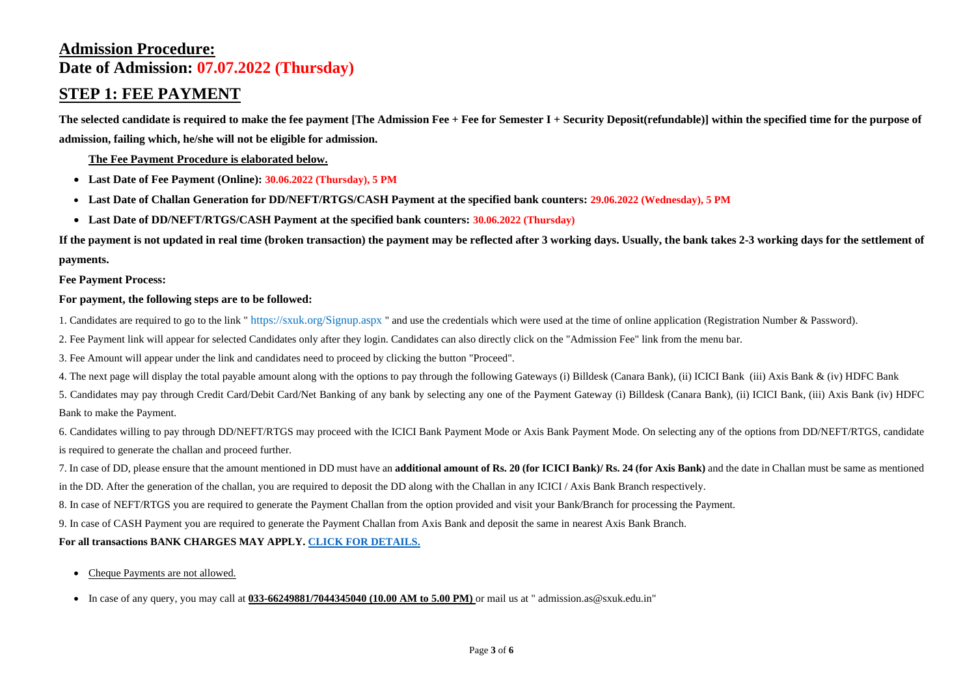# **Admission Procedure: Date of Admission: 07.07.2022 (Thursday)**

# **STEP 1: FEE PAYMENT**

**The selected candidate is required to make the fee payment [The Admission Fee + Fee for Semester I + Security Deposit(refundable)] within the specified time for the purpose of admission, failing which, he/she will not be eligible for admission.**

**The Fee Payment Procedure is elaborated below.**

- **Last Date of Fee Payment (Online): 30.06.2022 (Thursday), 5 PM**
- **Last Date of Challan Generation for DD/NEFT/RTGS/CASH Payment at the specified bank counters: 29.06.2022 (Wednesday), 5 PM**
- **Last Date of DD/NEFT/RTGS/CASH Payment at the specified bank counters: 30.06.2022 (Thursday)**

**If the payment is not updated in real time (broken transaction) the payment may be reflected after 3 working days. Usually, the bank takes 2-3 working days for the settlement of payments.**

**Fee Payment Process:**

#### **For payment, the following steps are to be followed:**

1. Candidates are required to go to the link "https://sxuk.org/Signup.aspx" and use the credentials which were used at the time of online application (Registration Number & Password).

2. Fee Payment link will appear for selected Candidates only after they login. Candidates can also directly click on the "Admission Fee" link from the menu bar.

3. Fee Amount will appear under the link and candidates need to proceed by clicking the button "Proceed".

- Cheque Payments are not allowed.
- In case of any query, you may call at **033-66249881/7044345040 (10.00 AM to 5.00 PM)** or mail us at " admission.as@sxuk.edu.in"

4. The next page will display the total payable amount along with the options to pay through the following Gateways (i) Billdesk (Canara Bank), (ii) ICICI Bank (iii) Axis Bank & (iv) HDFC Bank

5. Candidates may pay through Credit Card/Debit Card/Net Banking of any bank by selecting any one of the Payment Gateway (i) Billdesk (Canara Bank), (ii) ICICI Bank, (iii) Axis Bank (iv) HDFC Bank to make the Payment.

6. Candidates willing to pay through DD/NEFT/RTGS may proceed with the ICICI Bank Payment Mode or Axis Bank Payment Mode. On selecting any of the options from DD/NEFT/RTGS, candidate is required to generate the challan and proceed further.

7. In case of DD, please ensure that the amount mentioned in DD must have an **additional amount of Rs. 20 (for ICICI Bank)/ Rs. 24 (for Axis Bank)** and the date in Challan must be same as mentioned in the DD. After the generation of the challan, you are required to deposit the DD along with the Challan in any ICICI / Axis Bank Branch respectively.

8. In case of NEFT/RTGS you are required to generate the Payment Challan from the option provided and visit your Bank/Branch for processing the Payment.

9. In case of CASH Payment you are required to generate the Payment Challan from Axis Bank and deposit the same in nearest Axis Bank Branch.

#### **For all transactions BANK CHARGES MAY APPLY. [CLICK FOR DETAILS.](https://drive.google.com/file/d/1LmAl22DNZoL660ArxfMWCwWepMFL04-L/view?usp=sharing)**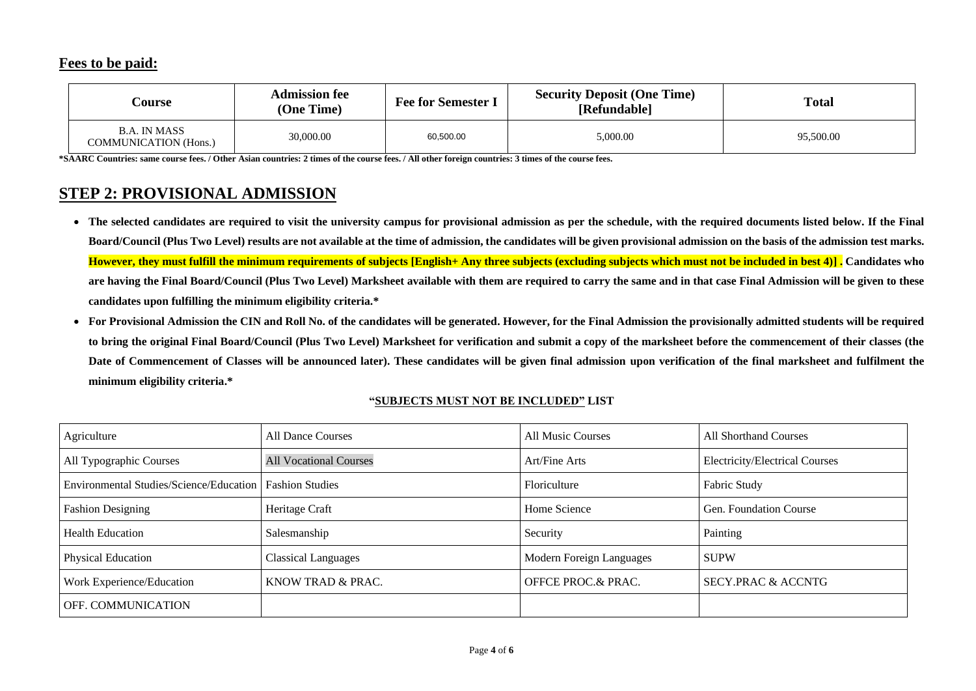### **Fees to be paid:**

| <b>Course</b>                                       | <b>Admission fee</b><br>(One Time) | <b>Fee for Semester I</b> | <b>Security Deposit (One Time)</b><br>[Refundable] | <b>Total</b> |  |
|-----------------------------------------------------|------------------------------------|---------------------------|----------------------------------------------------|--------------|--|
| <b>B.A. IN MASS</b><br><b>COMMUNICATION</b> (Hons.) | 30,000.00                          | 60,500.00                 | 5,000.00                                           | 95,500.00    |  |

#### **Total**

**\*SAARC Countries: same course fees. / Other Asian countries: 2 times of the course fees. / All other foreign countries: 3 times of the course fees.**

# **STEP 2: PROVISIONAL ADMISSION**

- **The selected candidates are required to visit the university campus for provisional admission as per the schedule, with the required documents listed below. If the Final Board/Council (Plus Two Level) results are not available at the time of admission, the candidates will be given provisional admission on the basis of the admission test marks. However, they must fulfill the minimum requirements of subjects [English+ Any three subjects (excluding subjects which must not be included in best 4)] . Candidates who are having the Final Board/Council (Plus Two Level) Marksheet available with them are required to carry the same and in that case Final Admission will be given to these candidates upon fulfilling the minimum eligibility criteria.\***
- **For Provisional Admission the CIN and Roll No. of the candidates will be generated. However, for the Final Admission the provisionally admitted students will be required to bring the original Final Board/Council (Plus Two Level) Marksheet for verification and submit a copy of the marksheet before the commencement of their classes (the Date of Commencement of Classes will be announced later). These candidates will be given final admission upon verification of the final marksheet and fulfilment the minimum eligibility criteria.\***

| Agriculture                                               | <b>All Dance Courses</b>      | <b>All Music Courses</b> | <b>All Shorthand Courses</b>          |
|-----------------------------------------------------------|-------------------------------|--------------------------|---------------------------------------|
| All Typographic Courses                                   | <b>All Vocational Courses</b> | Art/Fine Arts            | <b>Electricity/Electrical Courses</b> |
| Environmental Studies/Science/Education   Fashion Studies |                               | Floriculture             | <b>Fabric Study</b>                   |
| <b>Fashion Designing</b>                                  | Heritage Craft                | Home Science             | <b>Gen. Foundation Course</b>         |
| <b>Health Education</b>                                   | Salesmanship                  | Security                 | Painting                              |
| <b>Physical Education</b>                                 | <b>Classical Languages</b>    | Modern Foreign Languages | <b>SUPW</b>                           |
| Work Experience/Education                                 | KNOW TRAD & PRAC.             | OFFCE PROC.& PRAC.       | <b>SECY.PRAC &amp; ACCNTG</b>         |
| OFF. COMMUNICATION                                        |                               |                          |                                       |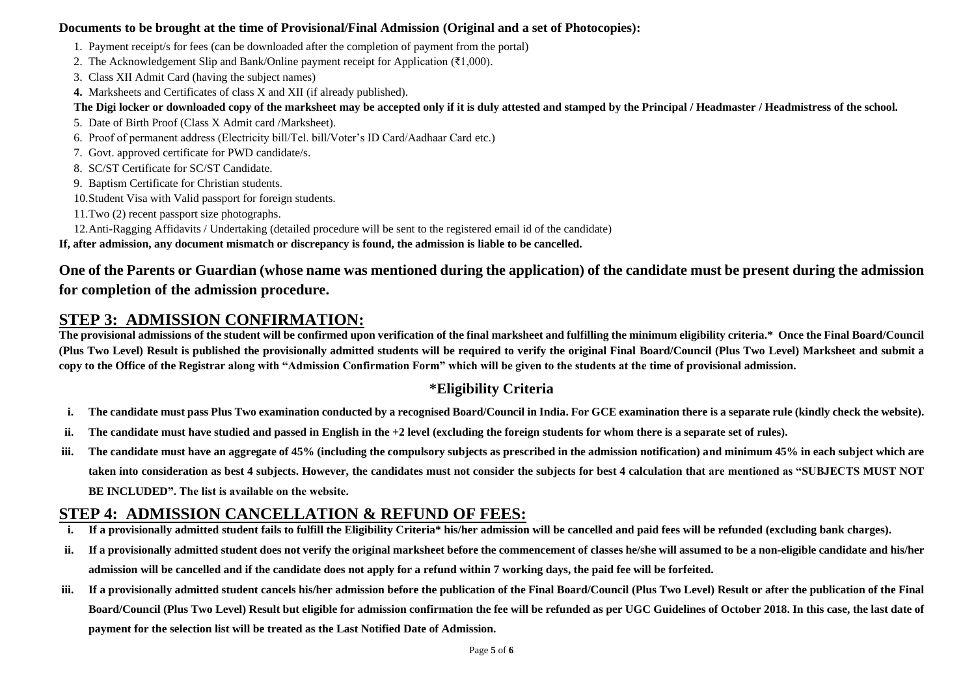### **Documents to be brought at the time of Provisional/Final Admission (Original and a set of Photocopies):**

- 1. Payment receipt/s for fees (can be downloaded after the completion of payment from the portal)
- 2. The Acknowledgement Slip and Bank/Online payment receipt for Application ( $\bar{\epsilon}1,000$ ).
- 3. Class XII Admit Card (having the subject names)
- **4.** Marksheets and Certificates of class X and XII (if already published).

#### **The Digi locker or downloaded copy of the marksheet may be accepted only if it is duly attested and stamped by the Principal / Headmaster / Headmistress of the school.**

- 5. Date of Birth Proof (Class X Admit card /Marksheet).
- 6. Proof of permanent address (Electricity bill/Tel. bill/Voter's ID Card/Aadhaar Card etc.)
- 7. Govt. approved certificate for PWD candidate/s.
- 8. SC/ST Certificate for SC/ST Candidate.
- 9. Baptism Certificate for Christian students.
- 10.Student Visa with Valid passport for foreign students.
- 11.Two (2) recent passport size photographs.
- 12.Anti-Ragging Affidavits / Undertaking (detailed procedure will be sent to the registered email id of the candidate)

The provisional admissions of the student will be confirmed upon verification of the final marksheet and fulfilling the minimum eligibility criteria.\* Once the Final Board/Council **(Plus Two Level) Result is published the provisionally admitted students will be required to verify the original Final Board/Council (Plus Two Level) Marksheet and submit a copy to the Office of the Registrar along with "Admission Confirmation Form" which will be given to the students at the time of provisional admission.**

**If, after admission, any document mismatch or discrepancy is found, the admission is liable to be cancelled.**

# **One of the Parents or Guardian (whose name was mentioned during the application) of the candidate must be present during the admission for completion of the admission procedure.**

# **STEP 3: ADMISSION CONFIRMATION:**

# **\*Eligibility Criteria**

- **i. The candidate must pass Plus Two examination conducted by a recognised Board/Council in India. For GCE examination there is a separate rule (kindly check the website).**
- **ii. The candidate must have studied and passed in English in the +2 level (excluding the foreign students for whom there is a separate set of rules).**
- **iii. The candidate must have an aggregate of 45% (including the compulsory subjects as prescribed in the admission notification) and minimum 45% in each subject which are taken into consideration as best 4 subjects. However, the candidates must not consider the subjects for best 4 calculation that are mentioned as "SUBJECTS MUST NOT BE INCLUDED". The list is available on the website.**

# **STEP 4: ADMISSION CANCELLATION & REFUND OF FEES:**

- **i. If a provisionally admitted student fails to fulfill the Eligibility Criteria\* his/her admission will be cancelled and paid fees will be refunded (excluding bank charges).**
- **ii. If a provisionally admitted student does not verify the original marksheet before the commencement of classes he/she will assumed to be a non-eligible candidate and his/her admission will be cancelled and if the candidate does not apply for a refund within 7 working days, the paid fee will be forfeited.**
- **iii. If a provisionally admitted student cancels his/her admission before the publication of the Final Board/Council (Plus Two Level) Result or after the publication of the Final Board/Council (Plus Two Level) Result but eligible for admission confirmation the fee will be refunded as per UGC Guidelines of October 2018. In this case, the last date of payment for the selection list will be treated as the Last Notified Date of Admission.**